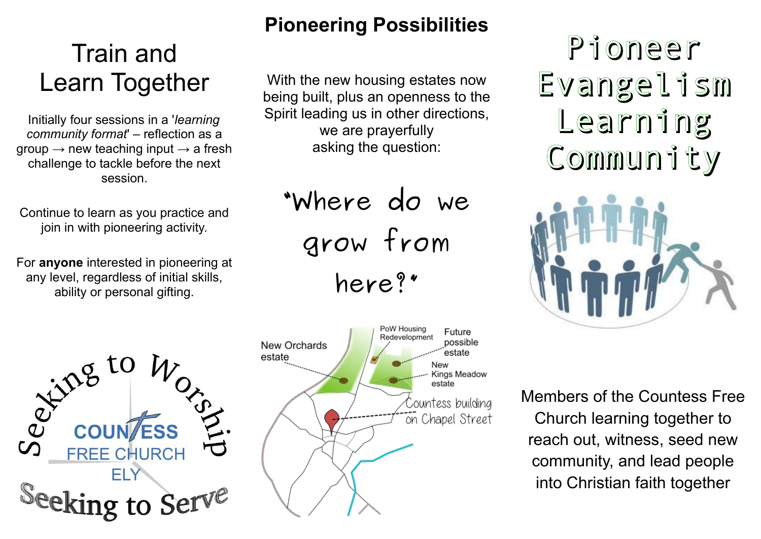# Train and Learn Together

Initially four sessions in a '*learning community format*' – reflection as a group  $\rightarrow$  new teaching input  $\rightarrow$  a fresh challenge to tackle before the next session.

Continue to learn as you practice and join in with pioneering activity.

For **anyone** interested in pioneering at any level, regardless of initial skills, ability or personal gifting.



## **Pioneering Possibilities**

With the new housing estates now being built, plus an openness to the Spirit leading us in other directions, we are prayerfully asking the question:

**"Where do we grow from here?"**

PoW Housing Future Redevelopment possible New Orchards estate estate New Kings Meadow estate Countess building on Chapel Street

Pioneer Evangelism Learning Community



Members of the Countess Free Church learning together to reach out, witness, seed new community, and lead people into Christian faith together